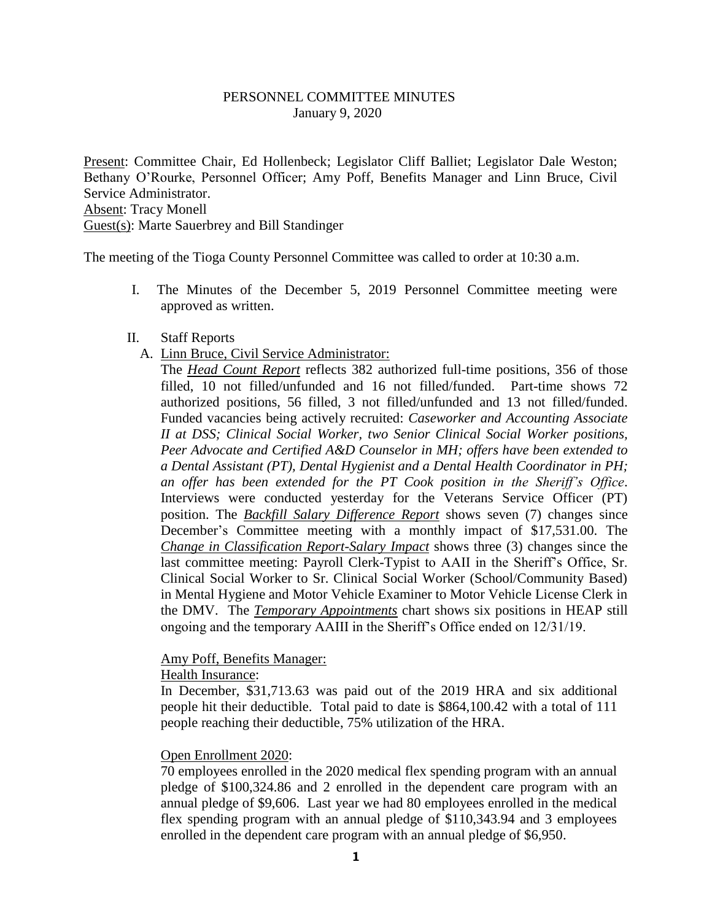# PERSONNEL COMMITTEE MINUTES January 9, 2020

Present: Committee Chair, Ed Hollenbeck; Legislator Cliff Balliet; Legislator Dale Weston; Bethany O'Rourke, Personnel Officer; Amy Poff, Benefits Manager and Linn Bruce, Civil Service Administrator. Absent: Tracy Monell Guest(s): Marte Sauerbrey and Bill Standinger

The meeting of the Tioga County Personnel Committee was called to order at 10:30 a.m.

I. The Minutes of the December 5, 2019 Personnel Committee meeting were approved as written.

### II. Staff Reports

A. Linn Bruce, Civil Service Administrator:

The *Head Count Report* reflects 382 authorized full-time positions, 356 of those filled, 10 not filled/unfunded and 16 not filled/funded. Part-time shows 72 authorized positions, 56 filled, 3 not filled/unfunded and 13 not filled/funded. Funded vacancies being actively recruited: *Caseworker and Accounting Associate II at DSS; Clinical Social Worker, two Senior Clinical Social Worker positions, Peer Advocate and Certified A&D Counselor in MH; offers have been extended to a Dental Assistant (PT), Dental Hygienist and a Dental Health Coordinator in PH; an offer has been extended for the PT Cook position in the Sheriff's Office*. Interviews were conducted yesterday for the Veterans Service Officer (PT) position. The *Backfill Salary Difference Report* shows seven (7) changes since December's Committee meeting with a monthly impact of \$17,531.00. The *Change in Classification Report-Salary Impact* shows three (3) changes since the last committee meeting: Payroll Clerk-Typist to AAII in the Sheriff's Office, Sr. Clinical Social Worker to Sr. Clinical Social Worker (School/Community Based) in Mental Hygiene and Motor Vehicle Examiner to Motor Vehicle License Clerk in the DMV. The *Temporary Appointments* chart shows six positions in HEAP still ongoing and the temporary AAIII in the Sheriff's Office ended on 12/31/19.

#### Amy Poff, Benefits Manager:

Health Insurance:

In December, \$31,713.63 was paid out of the 2019 HRA and six additional people hit their deductible. Total paid to date is \$864,100.42 with a total of 111 people reaching their deductible, 75% utilization of the HRA.

### Open Enrollment 2020:

70 employees enrolled in the 2020 medical flex spending program with an annual pledge of \$100,324.86 and 2 enrolled in the dependent care program with an annual pledge of \$9,606. Last year we had 80 employees enrolled in the medical flex spending program with an annual pledge of \$110,343.94 and 3 employees enrolled in the dependent care program with an annual pledge of \$6,950.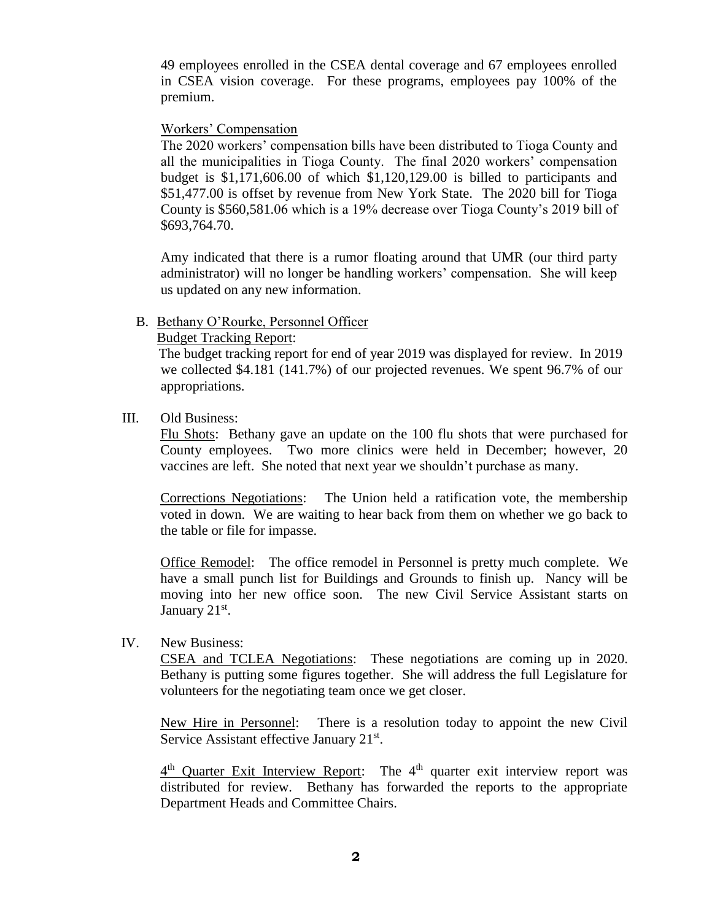49 employees enrolled in the CSEA dental coverage and 67 employees enrolled in CSEA vision coverage. For these programs, employees pay 100% of the premium.

# Workers' Compensation

The 2020 workers' compensation bills have been distributed to Tioga County and all the municipalities in Tioga County. The final 2020 workers' compensation budget is \$1,171,606.00 of which \$1,120,129.00 is billed to participants and \$51,477.00 is offset by revenue from New York State. The 2020 bill for Tioga County is \$560,581.06 which is a 19% decrease over Tioga County's 2019 bill of \$693,764.70.

Amy indicated that there is a rumor floating around that UMR (our third party administrator) will no longer be handling workers' compensation. She will keep us updated on any new information.

# B. Bethany O'Rourke, Personnel Officer

# Budget Tracking Report:

 The budget tracking report for end of year 2019 was displayed for review. In 2019 we collected \$4.181 (141.7%) of our projected revenues. We spent 96.7% of our appropriations.

# III. Old Business:

Flu Shots: Bethany gave an update on the 100 flu shots that were purchased for County employees. Two more clinics were held in December; however, 20 vaccines are left. She noted that next year we shouldn't purchase as many.

Corrections Negotiations: The Union held a ratification vote, the membership voted in down. We are waiting to hear back from them on whether we go back to the table or file for impasse.

Office Remodel: The office remodel in Personnel is pretty much complete. We have a small punch list for Buildings and Grounds to finish up. Nancy will be moving into her new office soon. The new Civil Service Assistant starts on January 21<sup>st</sup>.

### IV. New Business:

CSEA and TCLEA Negotiations: These negotiations are coming up in 2020. Bethany is putting some figures together. She will address the full Legislature for volunteers for the negotiating team once we get closer.

New Hire in Personnel: There is a resolution today to appoint the new Civil Service Assistant effective January 21<sup>st</sup>.

4<sup>th</sup> Quarter Exit Interview Report: The 4<sup>th</sup> quarter exit interview report was distributed for review. Bethany has forwarded the reports to the appropriate Department Heads and Committee Chairs.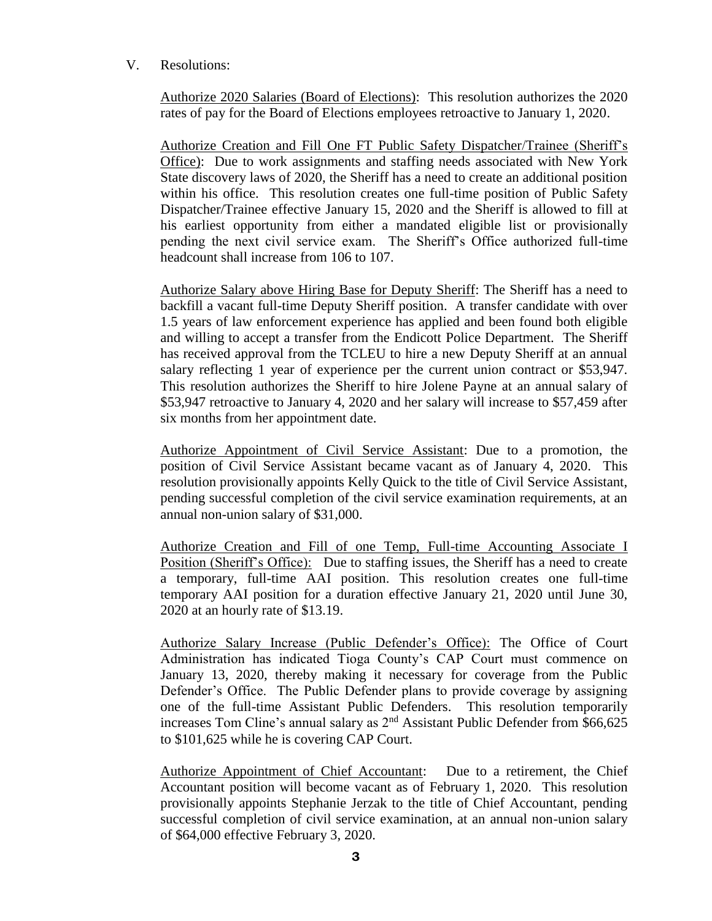# V. Resolutions:

Authorize 2020 Salaries (Board of Elections): This resolution authorizes the 2020 rates of pay for the Board of Elections employees retroactive to January 1, 2020.

Authorize Creation and Fill One FT Public Safety Dispatcher/Trainee (Sheriff's Office): Due to work assignments and staffing needs associated with New York State discovery laws of 2020, the Sheriff has a need to create an additional position within his office. This resolution creates one full-time position of Public Safety Dispatcher/Trainee effective January 15, 2020 and the Sheriff is allowed to fill at his earliest opportunity from either a mandated eligible list or provisionally pending the next civil service exam. The Sheriff's Office authorized full-time headcount shall increase from 106 to 107.

Authorize Salary above Hiring Base for Deputy Sheriff: The Sheriff has a need to backfill a vacant full-time Deputy Sheriff position. A transfer candidate with over 1.5 years of law enforcement experience has applied and been found both eligible and willing to accept a transfer from the Endicott Police Department. The Sheriff has received approval from the TCLEU to hire a new Deputy Sheriff at an annual salary reflecting 1 year of experience per the current union contract or \$53,947. This resolution authorizes the Sheriff to hire Jolene Payne at an annual salary of \$53,947 retroactive to January 4, 2020 and her salary will increase to \$57,459 after six months from her appointment date.

Authorize Appointment of Civil Service Assistant: Due to a promotion, the position of Civil Service Assistant became vacant as of January 4, 2020. This resolution provisionally appoints Kelly Quick to the title of Civil Service Assistant, pending successful completion of the civil service examination requirements, at an annual non-union salary of \$31,000.

Authorize Creation and Fill of one Temp, Full-time Accounting Associate I Position (Sheriff's Office): Due to staffing issues, the Sheriff has a need to create a temporary, full-time AAI position. This resolution creates one full-time temporary AAI position for a duration effective January 21, 2020 until June 30, 2020 at an hourly rate of \$13.19.

Authorize Salary Increase (Public Defender's Office): The Office of Court Administration has indicated Tioga County's CAP Court must commence on January 13, 2020, thereby making it necessary for coverage from the Public Defender's Office. The Public Defender plans to provide coverage by assigning one of the full-time Assistant Public Defenders. This resolution temporarily increases Tom Cline's annual salary as 2<sup>nd</sup> Assistant Public Defender from \$66,625 to \$101,625 while he is covering CAP Court.

Authorize Appointment of Chief Accountant: Due to a retirement, the Chief Accountant position will become vacant as of February 1, 2020. This resolution provisionally appoints Stephanie Jerzak to the title of Chief Accountant, pending successful completion of civil service examination, at an annual non-union salary of \$64,000 effective February 3, 2020.